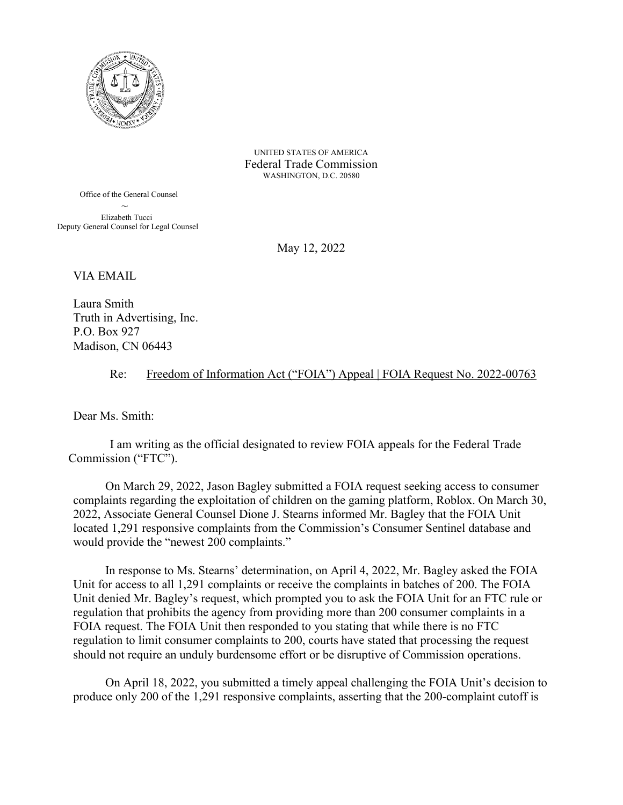

UNITED STATES OF AMERICA Federal Trade Commission WASHINGTON, D.C. 20580

 Office of the General Counsel Elizabeth Tucci Deputy General Counsel for Legal Counsel

May 12, 2022

VIA EMAIL

Laura Smith Truth in Advertising, Inc. P.O. Box 927 Madison, CN 06443

## Re: Freedom of Information Act ("FOIA") Appeal | FOIA Request No. 2022-00763

Dear Ms. Smith:

I am writing as the official designated to review FOIA appeals for the Federal Trade Commission ("FTC").

On March 29, 2022, Jason Bagley submitted a FOIA request seeking access to consumer complaints regarding the exploitation of children on the gaming platform, Roblox. On March 30, 2022, Associate General Counsel Dione J. Stearns informed Mr. Bagley that the FOIA Unit located 1,291 responsive complaints from the Commission's Consumer Sentinel database and would provide the "newest 200 complaints."

In response to Ms. Stearns' determination, on April 4, 2022, Mr. Bagley asked the FOIA Unit for access to all 1,291 complaints or receive the complaints in batches of 200. The FOIA Unit denied Mr. Bagley's request, which prompted you to ask the FOIA Unit for an FTC rule or regulation that prohibits the agency from providing more than 200 consumer complaints in a FOIA request. The FOIA Unit then responded to you stating that while there is no FTC regulation to limit consumer complaints to 200, courts have stated that processing the request should not require an unduly burdensome effort or be disruptive of Commission operations.

On April 18, 2022, you submitted a timely appeal challenging the FOIA Unit's decision to produce only 200 of the 1,291 responsive complaints, asserting that the 200-complaint cutoff is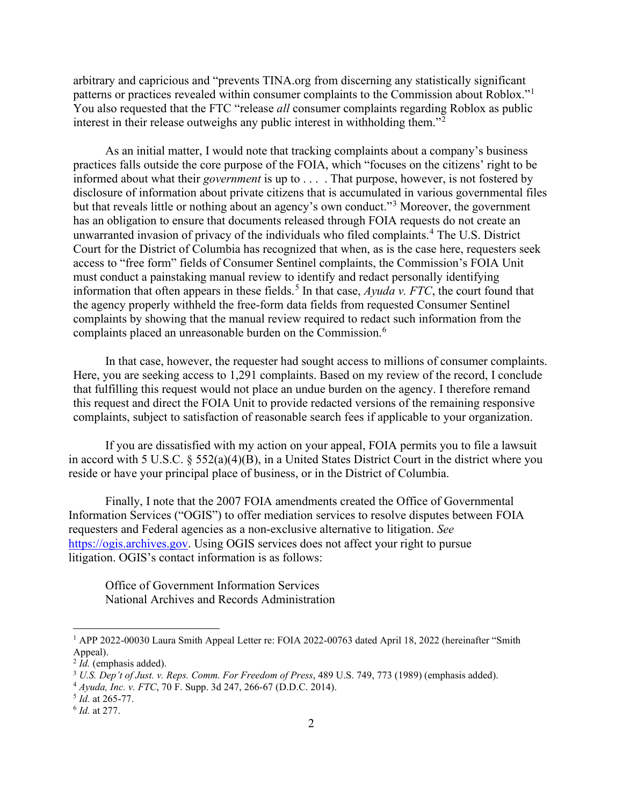arbitrary and capricious and "prevents TINA.org from discerning any statistically significant patterns or practices revealed within consumer complaints to the Commission about Roblox."<sup>[1](#page-1-0)</sup> You also requested that the FTC "release *all* consumer complaints regarding Roblox as public interest in their release outweighs any public interest in withholding them."[2](#page-1-1)

As an initial matter, I would note that tracking complaints about a company's business practices falls outside the core purpose of the FOIA, which "focuses on the citizens' right to be informed about what their *government* is up to . . . . That purpose, however, is not fostered by disclosure of information about private citizens that is accumulated in various governmental files but that reveals little or nothing about an agency's own conduct."[3](#page-1-2) Moreover, the government has an obligation to ensure that documents released through FOIA requests do not create an unwarranted invasion of privacy of the individuals who filed complaints. [4](#page-1-3) The U.S. District Court for the District of Columbia has recognized that when, as is the case here, requesters seek access to "free form" fields of Consumer Sentinel complaints, the Commission's FOIA Unit must conduct a painstaking manual review to identify and redact personally identifying information that often appears in these fields.<sup>[5](#page-1-4)</sup> In that case,  $Ayuda$  v. FTC, the court found that the agency properly withheld the free-form data fields from requested Consumer Sentinel complaints by showing that the manual review required to redact such information from the complaints placed an unreasonable burden on the Commission.[6](#page-1-5)

In that case, however, the requester had sought access to millions of consumer complaints. Here, you are seeking access to 1,291 complaints. Based on my review of the record, I conclude that fulfilling this request would not place an undue burden on the agency. I therefore remand this request and direct the FOIA Unit to provide redacted versions of the remaining responsive complaints, subject to satisfaction of reasonable search fees if applicable to your organization.

If you are dissatisfied with my action on your appeal, FOIA permits you to file a lawsuit in accord with 5 U.S.C. § 552(a)(4)(B), in a United States District Court in the district where you reside or have your principal place of business, or in the District of Columbia.

Finally, I note that the 2007 FOIA amendments created the Office of Governmental Information Services ("OGIS") to offer mediation services to resolve disputes between FOIA requesters and Federal agencies as a non-exclusive alternative to litigation. *See*  [https://ogis.archives.gov.](https://ogis.archives.gov/) Using OGIS services does not affect your right to pursue litigation. OGIS's contact information is as follows:

Office of Government Information Services National Archives and Records Administration

<span id="page-1-0"></span><sup>1</sup> APP 2022-00030 Laura Smith Appeal Letter re: FOIA 2022-00763 dated April 18, 2022 (hereinafter "Smith Appeal).<br> $2 Id.$  (emphasis added).

<span id="page-1-1"></span>

<span id="page-1-2"></span><sup>&</sup>lt;sup>3</sup> *U.S. Dep't of Just. v. Reps. Comm. For Freedom of Press*, 489 U.S. 749, 773 (1989) (emphasis added).

<span id="page-1-3"></span><sup>4</sup> *Ayuda, Inc. v. FTC*, 70 F. Supp. 3d 247, 266-67 (D.D.C. 2014).

<span id="page-1-4"></span><sup>5</sup> *Id.* at 265-77.

<span id="page-1-5"></span><sup>6</sup> *Id.* at 277.